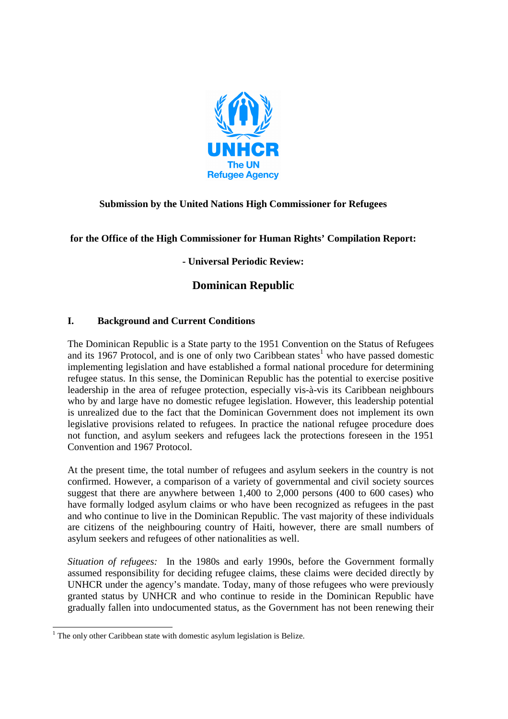

## **Submission by the United Nations High Commissioner for Refugees**

**for the Office of the High Commissioner for Human Rights' Compilation Report:** 

**- Universal Periodic Review:** 

# **Dominican Republic**

#### **I. Background and Current Conditions**

The Dominican Republic is a State party to the 1951 Convention on the Status of Refugees and its 1967 Protocol, and is one of only two Caribbean states<sup>1</sup> who have passed domestic implementing legislation and have established a formal national procedure for determining refugee status. In this sense, the Dominican Republic has the potential to exercise positive leadership in the area of refugee protection, especially vis-à-vis its Caribbean neighbours who by and large have no domestic refugee legislation. However, this leadership potential is unrealized due to the fact that the Dominican Government does not implement its own legislative provisions related to refugees. In practice the national refugee procedure does not function, and asylum seekers and refugees lack the protections foreseen in the 1951 Convention and 1967 Protocol.

At the present time, the total number of refugees and asylum seekers in the country is not confirmed. However, a comparison of a variety of governmental and civil society sources suggest that there are anywhere between 1,400 to 2,000 persons (400 to 600 cases) who have formally lodged asylum claims or who have been recognized as refugees in the past and who continue to live in the Dominican Republic. The vast majority of these individuals are citizens of the neighbouring country of Haiti, however, there are small numbers of asylum seekers and refugees of other nationalities as well.

*Situation of refugees:* In the 1980s and early 1990s, before the Government formally assumed responsibility for deciding refugee claims, these claims were decided directly by UNHCR under the agency's mandate. Today, many of those refugees who were previously granted status by UNHCR and who continue to reside in the Dominican Republic have gradually fallen into undocumented status, as the Government has not been renewing their

 1 The only other Caribbean state with domestic asylum legislation is Belize.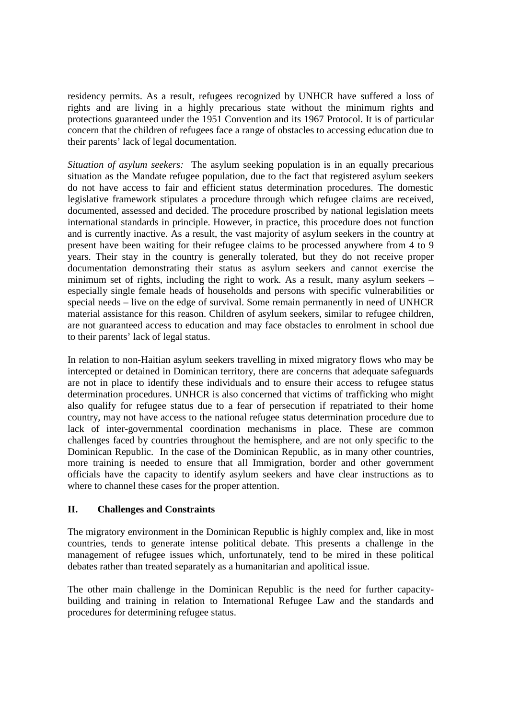residency permits. As a result, refugees recognized by UNHCR have suffered a loss of rights and are living in a highly precarious state without the minimum rights and protections guaranteed under the 1951 Convention and its 1967 Protocol. It is of particular concern that the children of refugees face a range of obstacles to accessing education due to their parents' lack of legal documentation.

*Situation of asylum seekers:* The asylum seeking population is in an equally precarious situation as the Mandate refugee population, due to the fact that registered asylum seekers do not have access to fair and efficient status determination procedures. The domestic legislative framework stipulates a procedure through which refugee claims are received, documented, assessed and decided. The procedure proscribed by national legislation meets international standards in principle. However, in practice, this procedure does not function and is currently inactive. As a result, the vast majority of asylum seekers in the country at present have been waiting for their refugee claims to be processed anywhere from 4 to 9 years. Their stay in the country is generally tolerated, but they do not receive proper documentation demonstrating their status as asylum seekers and cannot exercise the minimum set of rights, including the right to work. As a result, many asylum seekers – especially single female heads of households and persons with specific vulnerabilities or special needs – live on the edge of survival. Some remain permanently in need of UNHCR material assistance for this reason. Children of asylum seekers, similar to refugee children, are not guaranteed access to education and may face obstacles to enrolment in school due to their parents' lack of legal status.

In relation to non-Haitian asylum seekers travelling in mixed migratory flows who may be intercepted or detained in Dominican territory, there are concerns that adequate safeguards are not in place to identify these individuals and to ensure their access to refugee status determination procedures. UNHCR is also concerned that victims of trafficking who might also qualify for refugee status due to a fear of persecution if repatriated to their home country, may not have access to the national refugee status determination procedure due to lack of inter-governmental coordination mechanisms in place. These are common challenges faced by countries throughout the hemisphere, and are not only specific to the Dominican Republic. In the case of the Dominican Republic, as in many other countries, more training is needed to ensure that all Immigration, border and other government officials have the capacity to identify asylum seekers and have clear instructions as to where to channel these cases for the proper attention.

#### **II. Challenges and Constraints**

The migratory environment in the Dominican Republic is highly complex and, like in most countries, tends to generate intense political debate. This presents a challenge in the management of refugee issues which, unfortunately, tend to be mired in these political debates rather than treated separately as a humanitarian and apolitical issue.

The other main challenge in the Dominican Republic is the need for further capacitybuilding and training in relation to International Refugee Law and the standards and procedures for determining refugee status.